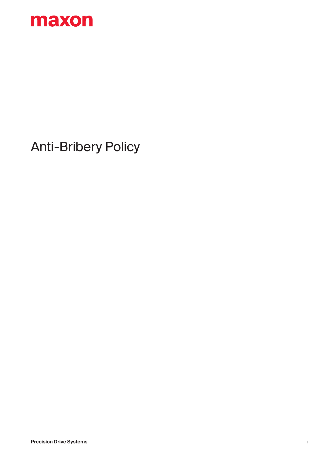

## Anti-Bribery Policy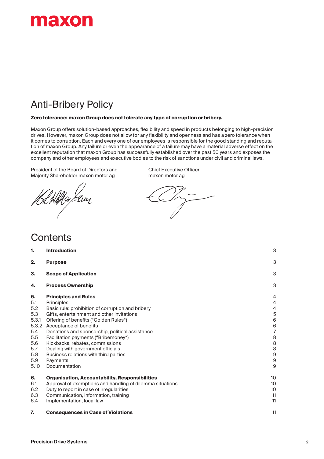

## Anti-Bribery Policy

#### **Zero tolerance: maxon Group does not tolerate any type of corruption or bribery.**

Maxon Group offers solution-based approaches, flexibility and speed in products belonging to high-precision drives. However, maxon Group does not allow for any flexibility and openness and has a zero tolerance when it comes to corruption. Each and every one of our employees is responsible for the good standing and reputation of maxon Group. Any failure or even the appearance of a failure may have a material adverse effect on the excellent reputation that maxon Group has successfully established over the past 50 years and exposes the company and other employees and executive bodies to the risk of sanctions under civil and criminal laws.

President of the Board of Directors and Chief Executive Officer<br>
Majority Shareholder maxon motor ag maxon motor ag Majority Shareholder maxon motor ag

g Stuy

### **Contents**

| 1.                                                                                          | <b>Introduction</b>                                                                                                                                                                                                                                                                                                                                                                                                                                      | 3                                                                                                                              |
|---------------------------------------------------------------------------------------------|----------------------------------------------------------------------------------------------------------------------------------------------------------------------------------------------------------------------------------------------------------------------------------------------------------------------------------------------------------------------------------------------------------------------------------------------------------|--------------------------------------------------------------------------------------------------------------------------------|
| 2.                                                                                          | <b>Purpose</b>                                                                                                                                                                                                                                                                                                                                                                                                                                           | 3                                                                                                                              |
| 3.                                                                                          | <b>Scope of Application</b>                                                                                                                                                                                                                                                                                                                                                                                                                              | 3                                                                                                                              |
| 4.                                                                                          | <b>Process Ownership</b>                                                                                                                                                                                                                                                                                                                                                                                                                                 | 3                                                                                                                              |
| 5.<br>5.1<br>5.2<br>5.3<br>5.3.1<br>5.3.2<br>5.4<br>5.5<br>5.6<br>5.7<br>5.8<br>5.9<br>5.10 | <b>Principles and Rules</b><br>Principles<br>Basic rule: prohibition of corruption and bribery<br>Gifts, entertainment and other invitations<br>Offering of benefits ("Golden Rules")<br>Acceptance of benefits<br>Donations and sponsorship, political assistance<br>Facilitation payments ("Bribemoney")<br>Kickbacks, rebates, commissions<br>Dealing with government officials<br>Business relations with third parties<br>Payments<br>Documentation | 4<br>4<br>4<br>5<br>$\,6$<br>$\,$ 6 $\,$<br>$\overline{7}$<br>$\,$ 8 $\,$<br>8<br>8<br>$\overline{9}$<br>$\boldsymbol{9}$<br>9 |
| 6.<br>6.1<br>6.2<br>6.3<br>6.4                                                              | <b>Organisation, Accountability, Responsibilities</b><br>Approval of exemptions and handling of dilemma situations<br>Duty to report in case of irregularities<br>Communication, information, training<br>Implementation, local law                                                                                                                                                                                                                      | 10<br>10<br>10<br>11<br>11                                                                                                     |
| 7.                                                                                          | <b>Consequences in Case of Violations</b>                                                                                                                                                                                                                                                                                                                                                                                                                | 11                                                                                                                             |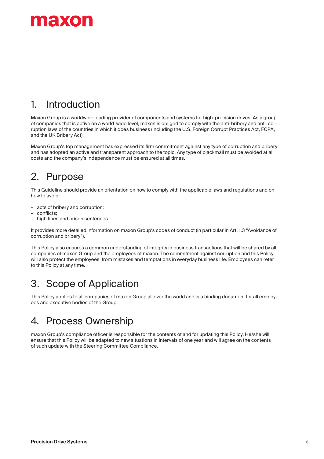

## 1. Introduction

Maxon Group is a worldwide leading provider of components and systems for high-precision drives. As a group of companies that is active on a world-wide level, maxon is obliged to comply with the anti-bribery and anti-corruption laws of the countries in which it does business (including the U.S. Foreign Corrupt Practices Act, FCPA, and the UK Bribery Act).

Maxon Group's top management has expressed its firm commitment against any type of corruption and bribery and has adopted an active and transparent approach to the topic. Any type of blackmail must be avoided at all costs and the company's independence must be ensured at all times.

## 2. Purpose

This Guideline should provide an orientation on how to comply with the applicable laws and regulations and on how to avoid

- acts of bribery and corruption;
- conflicts;
- high fines and prison sentences.

It provides more detailed information on maxon Group's codes of conduct (in particular in Art. 1.3 "Avoidance of corruption and bribery").

This Policy also ensures a common understanding of integrity in business transactions that will be shared by all companies of maxon Group and the employees of maxon. The commitment against corruption and this Policy will also protect the employees from mistakes and temptations in everyday business life. Employees can refer to this Policy at any time.

### 3. Scope of Application

This Policy applies to all companies of maxon Group all over the world and is a binding document for all employees and executive bodies of the Group.

### 4. Process Ownership

maxon Group's compliance officer is responsible for the contents of and for updating this Policy. He/she will ensure that this Policy will be adapted to new situations in intervals of one year and will agree on the contents of such update with the Steering Committee Compliance.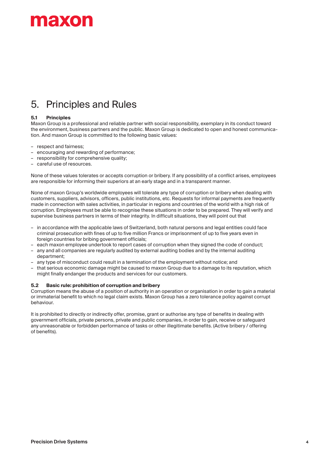## naxon

## 5. Principles and Rules

#### **5.1 Principles**

Maxon Group is a professional and reliable partner with social responsibility, exemplary in its conduct toward the environment, business partners and the public. Maxon Group is dedicated to open and honest communication. And maxon Group is committed to the following basic values:

- respect and fairness;
- encouraging and rewarding of performance;
- responsibility for comprehensive quality;
- careful use of resources.

None of these values tolerates or accepts corruption or bribery. If any possibility of a conflict arises, employees are responsible for informing their superiors at an early stage and in a transparent manner.

None of maxon Group's worldwide employees will tolerate any type of corruption or bribery when dealing with customers, suppliers, advisors, officers, public institutions, etc. Requests for informal payments are frequently made in connection with sales activities, in particular in regions and countries of the world with a high risk of corruption. Employees must be able to recognise these situations in order to be prepared. They will verify and supervise business partners in terms of their integrity. In difficult situations, they will point out that

- in accordance with the applicable laws of Switzerland, both natural persons and legal entities could face criminal prosecution with fines of up to five million Francs or imprisonment of up to five years even in foreign countries for bribing government officials;
- each maxon employee undertook to report cases of corruption when they signed the code of conduct;
- any and all companies are regularly audited by external auditing bodies and by the internal auditing department;
- any type of misconduct could result in a termination of the employment without notice; and
- that serious economic damage might be caused to maxon Group due to a damage to its reputation, which might finally endanger the products and services for our customers.

#### **5.2 Basic rule: prohibition of corruption and bribery**

Corruption means the abuse of a position of authority in an operation or organisation in order to gain a material or immaterial benefit to which no legal claim exists. Maxon Group has a zero tolerance policy against corrupt behaviour.

It is prohibited to directly or indirectly offer, promise, grant or authorise any type of benefits in dealing with government officials, private persons, private and public companies, in order to gain, receive or safeguard any unreasonable or forbidden performance of tasks or other illegitimate benefits. (Active bribery / offering of benefits).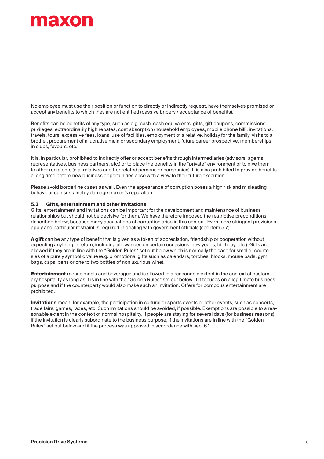## **THE MOTO**

No employee must use their position or function to directly or indirectly request, have themselves promised or accept any benefits to which they are not entitled (passive bribery / acceptance of benefits).

Benefits can be benefits of any type, such as e.g. cash, cash equivalents, gifts, gift coupons, commissions, privileges, extraordinarily high rebates, cost absorption (household employees, mobile phone bill), invitations, travels, tours, excessive fees, loans, use of facilities, employment of a relative, holiday for the family, visits to a brothel, procurement of a lucrative main or secondary employment, future career prospective, memberships in clubs, favours, etc.

It is, in particular, prohibited to indirectly offer or accept benefits through intermediaries (advisors, agents, representatives, business partners, etc.) or to place the benefits in the "private" environment or to give them to other recipients (e.g. relatives or other related persons or companies). It is also prohibited to provide benefits a long time before new business opportunities arise with a view to their future execution.

Please avoid borderline cases as well. Even the appearance of corruption poses a high risk and misleading behaviour can sustainably damage maxon's reputation.

#### **5.3 Gifts, entertainment and other invitations**

Gifts, entertainment and invitations can be important for the development and maintenance of business relationships but should not be decisive for them. We have therefore imposed the restrictive preconditions described below, because many accusations of corruption arise in this context. Even more stringent provisions apply and particular restraint is required in dealing with government officials (see item 5.7).

**A gift** can be any type of benefit that is given as a token of appreciation, friendship or cooperation without expecting anything in return, including allowances on certain occasions (new year's, birthday, etc.). Gifts are allowed if they are in line with the "Golden Rules" set out below which is normally the case for smaller courtesies of a purely symbolic value (e.g. promotional gifts such as calendars, torches, blocks, mouse pads, gym bags, caps, pens or one to two bottles of nonluxurious wine).

**Entertainment** means meals and beverages and is allowed to a reasonable extent in the context of customary hospitality as long as it is in line with the "Golden Rules" set out below, if it focuses on a legitimate business purpose and if the counterparty would also make such an invitation. Offers for pompous entertainment are prohibited.

**Invitations** mean, for example, the participation in cultural or sports events or other events, such as concerts, trade fairs, games, races, etc. Such invitations should be avoided, if possible. Exemptions are possible to a reasonable extent in the context of normal hospitality, if people are staying for several days (for business reasons), if the invitation is clearly subordinate to the business purpose, if the invitations are in line with the "Golden Rules" set out below and if the process was approved in accordance with sec. 6.1.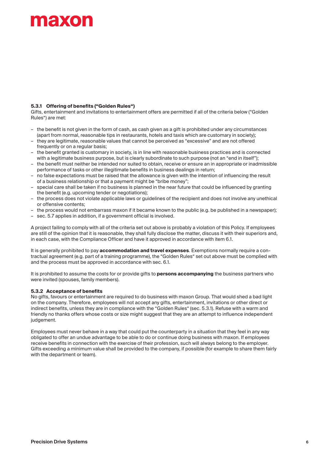# **naxon**

#### **5.3.1 Offering of benefits ("Golden Rules")**

Gifts, entertainment and invitations to entertainment offers are permitted if all of the criteria below ("Golden Rules") are met:

- the benefit is not given in the form of cash, as cash given as a gift is prohibited under any circumstances (apart from normal, reasonable tips in restaurants, hotels and taxis which are customary in society);
- they are legitimate, reasonable values that cannot be perceived as "excessive" and are not offered frequently or on a regular basis;
- the benefit granted is customary in society, is in line with reasonable business practices and is connected with a legitimate business purpose, but is clearly subordinate to such purpose (not an "end in itself");
- the benefit must neither be intended nor suited to obtain, receive or ensure an in appropriate or inadmissible performance of tasks or other illegitimate benefits in business dealings in return;
- no false expectations must be raised that the allowance is given with the intention of influencing the result of a business relationship or that a payment might be "bribe money";
- special care shall be taken if no business is planned in the near future that could be influenced by granting the benefit (e.g. upcoming tender or negotiations);
- the process does not violate applicable laws or guidelines of the recipient and does not involve any unethical or offensive contents;
- the process would not embarrass maxon if it became known to the public (e.g. be published in a newspaper);
- sec. 5.7 applies in addition, if a government official is involved.

A project failing to comply with all of the criteria set out above is probably a violation of this Policy. If employees are still of the opinion that it is reasonable, they shall fully disclose the matter, discuss it with their superiors and, in each case, with the Compliance Officer and have it approved in accordance with item 6.1.

It is generally prohibited to pay **accommodation and travel expenses**. Exemptions normally require a contractual agreement (e.g. part of a training programme), the "Golden Rules" set out above must be complied with and the process must be approved in accordance with sec. 6.1.

It is prohibited to assume the costs for or provide gifts to **persons accompanying** the business partners who were invited (spouses, family members).

#### **5.3.2 Acceptance of benefits**

No gifts, favours or entertainment are required to do business with maxon Group. That would shed a bad light on the company. Therefore, employees will not accept any gifts, entertainment, invitations or other direct or indirect benefits, unless they are in compliance with the "Golden Rules" (sec. 5.3.1). Refuse with a warm and friendly no thanks offers whose costs or size might suggest that they are an attempt to influence independent judgement.

Employees must never behave in a way that could put the counterparty in a situation that they feel in any way obligated to offer an undue advantage to be able to do or continue doing business with maxon. If employees receive benefits in connection with the exercise of their profession, such will always belong to the employer. Gifts exceeding a minimum value shall be provided to the company, if possible (for example to share them fairly with the department or team).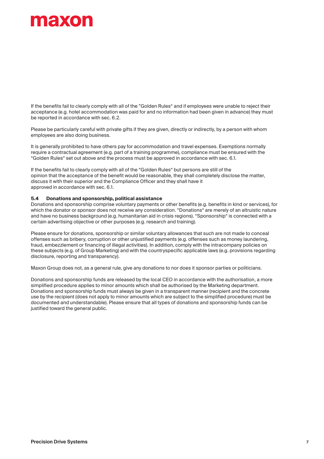## **TEXOL**

If the benefits fail to clearly comply with all of the "Golden Rules" and if employees were unable to reject their acceptance (e.g. hotel accommodation was paid for and no information had been given in advance) they must be reported in accordance with sec. 6.2.

Please be particularly careful with private gifts if they are given, directly or indirectly, by a person with whom employees are also doing business.

It is generally prohibited to have others pay for accommodation and travel expenses. Exemptions normally require a contractual agreement (e.g. part of a training programme), compliance must be ensured with the "Golden Rules" set out above and the process must be approved in accordance with sec. 6.1.

If the benefits fail to clearly comply with all of the "Golden Rules" but persons are still of the opinion that the acceptance of the benefit would be reasonable, they shall completely disclose the matter, discuss it with their superior and the Compliance Officer and they shall have it approved in accordance with sec. 6.1.

#### **5.4 Donations and sponsorship, political assistance**

Donations and sponsorship comprise voluntary payments or other benefits (e.g. benefits in kind or services), for which the donator or sponsor does not receive any consideration. "Donations" are merely of an altruistic nature and have no business background (e.g. humanitarian aid in crisis regions). "Sponsorship" is connected with a certain advertising objective or other purposes (e.g. research and training).

Please ensure for donations, sponsorship or similar voluntary allowances that such are not made to conceal offenses such as bribery, corruption or other unjustified payments (e.g. offenses such as money laundering, fraud, embezzlement or financing of illegal activities). In addition, comply with the intracompany policies on these subjects (e.g. of Group Marketing) and with the countryspecific applicable laws (e.g. provisions regarding disclosure, reporting and transparency).

Maxon Group does not, as a general rule, give any donations to nor does it sponsor parties or politicians.

Donations and sponsorship funds are released by the local CEO in accordance with the authorisation, a more simplified procedure applies to minor amounts which shall be authorised by the Marketing department. Donations and sponsorship funds must always be given in a transparent manner (recipient and the concrete use by the recipient (does not apply to minor amounts which are subject to the simplified procedure) must be documented and understandable). Please ensure that all types of donations and sponsorship funds can be justified toward the general public.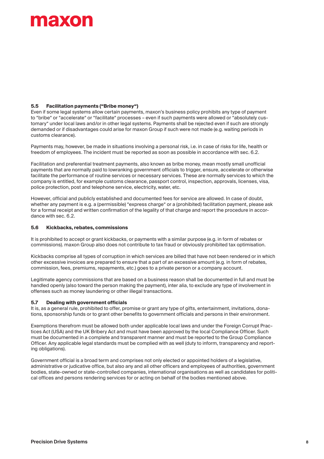# naxon

#### **5.5 Facilitation payments ("Bribe money")**

Even if some legal systems allow certain payments, maxon's business policy prohibits any type of payment to "bribe" or "accelerate" or "facilitate" processes – even if such payments were allowed or "absolutely customary" under local laws and/or in other legal systems. Payments shall be rejected even if such are strongly demanded or if disadvantages could arise for maxon Group if such were not made (e.g. waiting periods in customs clearance).

Payments may, however, be made in situations involving a personal risk, i.e. in case of risks for life, health or freedom of employees. The incident must be reported as soon as possible in accordance with sec. 6.2.

Facilitation and preferential treatment payments, also known as bribe money, mean mostly small unofficial payments that are normally paid to lowranking government officials to trigger, ensure, accelerate or otherwise facilitate the performance of routine services or necessary services. These are normally services to which the company is entitled, for example customs clearance, passport control, inspection, approvals, licenses, visa, police protection, post and telephone service, electricity, water, etc.

However, official and publicly established and documented fees for service are allowed. In case of doubt, whether any payment is e.g. a (permissible) "express charge" or a (prohibited) facilitation payment, please ask for a formal receipt and written confirmation of the legality of that charge and report the procedure in accordance with sec. 6.2.

#### **5.6 Kickbacks, rebates, commissions**

It is prohibited to accept or grant kickbacks, or payments with a similar purpose (e.g. in form of rebates or commissions). maxon Group also does not contribute to tax fraud or obviously prohibited tax optimisation.

Kickbacks comprise all types of corruption in which services are billed that have not been rendered or in which other excessive invoices are prepared to ensure that a part of an excessive amount (e.g. in form of rebates, commission, fees, premiums, repayments, etc.) goes to a private person or a company account.

Legitimate agency commissions that are based on a business reason shall be documented in full and must be handled openly (also toward the person making the payment), inter alia, to exclude any type of involvement in offenses such as money laundering or other illegal transactions.

#### **5.7 Dealing with government officials**

It is, as a general rule, prohibited to offer, promise or grant any type of gifts, entertainment, invitations, donations, sponsorship funds or to grant other benefits to government officials and persons in their environment.

Exemptions therefrom must be allowed both under applicable local laws and under the Foreign Corrupt Practices Act (USA) and the UK Bribery Act and must have been approved by the local Compliance Officer. Such must be documented in a complete and transparent manner and must be reported to the Group Compliance Officer. Any applicable legal standards must be complied with as well (duty to inform, transparency and reporting obligations).

Government official is a broad term and comprises not only elected or appointed holders of a legislative, administrative or judicative office, but also any and all other officers and employees of authorities, government bodies, state-owned or state-controlled companies, international organisations as well as candidates for political offices and persons rendering services for or acting on behalf of the bodies mentioned above.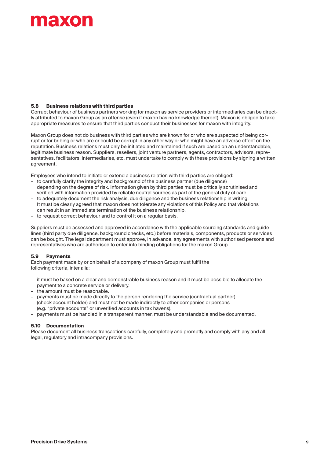# **TEXOL**

#### **5.8 Business relations with third parties**

Corrupt behaviour of business partners working for maxon as service providers or intermediaries can be directly attributed to maxon Group as an offense (even if maxon has no knowledge thereof). Maxon is obliged to take appropriate measures to ensure that third parties conduct their businesses for maxon with integrity.

Maxon Group does not do business with third parties who are known for or who are suspected of being corrupt or for bribing or who are or could be corrupt in any other way or who might have an adverse effect on the reputation. Business relations must only be initiated and maintained if such are based on an understandable, legitimate business reason. Suppliers, resellers, joint venture partners, agents, contractors, advisors, representatives, facilitators, intermediaries, etc. must undertake to comply with these provisions by signing a written agreement.

Employees who intend to initiate or extend a business relation with third parties are obliged:

- to carefully clarify the integrity and background of the business partner (due diligence) depending on the degree of risk. Information given by third parties must be critically scrutinised and verified with information provided by reliable neutral sources as part of the general duty of care.
- to adequately document the risk analysis, due diligence and the business relationship in writing. It must be clearly agreed that maxon does not tolerate any violations of this Policy and that violations can result in an immediate termination of the business relationship.
- to request correct behaviour and to control it on a regular basis.

Suppliers must be assessed and approved in accordance with the applicable sourcing standards and guidelines (third party due diligence, background checks, etc.) before materials, components, products or services can be bought. The legal department must approve, in advance, any agreements with authorised persons and representatives who are authorised to enter into binding obligations for the maxon Group.

#### **5.9 Payments**

Each payment made by or on behalf of a company of maxon Group must fulfil the following criteria, inter alia:

- it must be based on a clear and demonstrable business reason and it must be possible to allocate the payment to a concrete service or delivery.
- the amount must be reasonable.
- payments must be made directly to the person rendering the service (contractual partner) (check account holder) and must not be made indirectly to other companies or persons (e.g. "private accounts" or unverified accounts in tax havens).
- payments must be handled in a transparent manner, must be understandable and be documented.

#### **5.10 Documentation**

Please document all business transactions carefully, completely and promptly and comply with any and all legal, regulatory and intracompany provisions.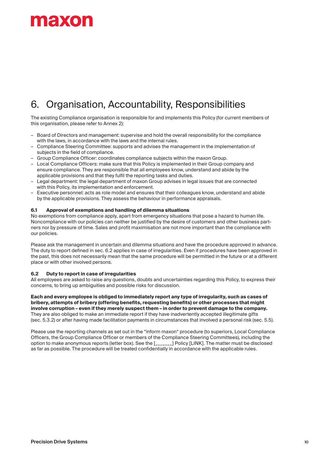

## 6. Organisation, Accountability, Responsibilities

The existing Compliance organisation is responsible for and implements this Policy (for current members of this organisation, please refer to Annex 2):

- Board of Directors and management: supervise and hold the overall responsibility for the compliance with the laws, in accordance with the laws and the internal rules.
- Compliance Steering Committee: supports and advises the management in the implementation of subjects in the field of compliance.
- Group Compliance Officer: coordinates compliance subjects within the maxon Group.
- Local Compliance Officers: make sure that this Policy is implemented in their Group company and ensure compliance. They are responsible that all employees know, understand and abide by the applicable provisions and that they fulfil the reporting tasks and duties.
- Legal department: the legal department of maxon Group advises in legal issues that are connected with this Policy, its implementation and enforcement.
- Executive personnel: acts as role model and ensures that their colleagues know, understand and abide by the applicable provisions. They assess the behaviour in performance appraisals.

#### **6.1 Approval of exemptions and handling of dilemma situations**

No exemptions from compliance apply, apart from emergency situations that pose a hazard to human life. Noncompliance with our policies can neither be justified by the desire of customers and other business partners nor by pressure of time. Sales and profit maximisation are not more important than the compliance with our policies.

Please ask the management in uncertain and dilemma situations and have the procedure approved in advance. The duty to report defined in sec. 6.2 applies in case of irregularities. Even if procedures have been approved in the past, this does not necessarily mean that the same procedure will be permitted in the future or at a different place or with other involved persons.

#### **6.2 Duty to report in case of irregularities**

All employees are asked to raise any questions, doubts and uncertainties regarding this Policy, to express their concerns, to bring up ambiguities and possible risks for discussion.

**Each and every employee is obliged to immediately report any type of irregularity, such as cases of bribery, attempts of bribery (offering benefits, requesting benefits) or other processes that might involve corruption – even if they merely suspect them – in order to prevent damage to the company.** They are also obliged to make an immediate report if they have inadvertently accepted illegitimate gifts (sec. 5.3.2) or after having made facilitation payments in circumstances that involved a personal risk (sec. 5.5).

Please use the reporting channels as set out in the "inform maxon" procedure (to superiors, Local Compliance Officers, the Group Compliance Officer or members of the Compliance Steering Committees), including the option to make anonymous reports (letter box). See the [\_\_\_\_\_\_\_] Policy [LINK]. The matter must be disclosed as far as possible. The procedure will be treated confidentially in accordance with the applicable rules.